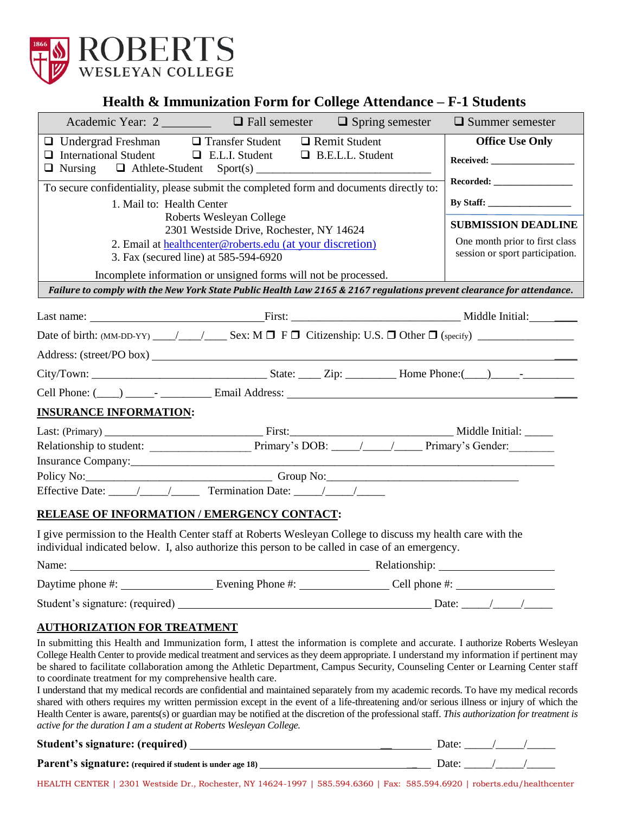

## **Health & Immunization Form for College Attendance – F-1 Students**

| Academic Year: 2                                                                                                                                                                                                               | $\Box$ Fall semester                                                                               | $\Box$ Spring semester  | $\Box$ Summer semester                                            |
|--------------------------------------------------------------------------------------------------------------------------------------------------------------------------------------------------------------------------------|----------------------------------------------------------------------------------------------------|-------------------------|-------------------------------------------------------------------|
| $\Box$ Undergrad Freshman $\Box$ Transfer Student $\Box$ Remit Student<br>$\Box$ International Student                                                                                                                         |                                                                                                    |                         | <b>Office Use Only</b>                                            |
|                                                                                                                                                                                                                                | $\Box$ E.L.I. Student                                                                              | $\Box$ B.E.L.L. Student |                                                                   |
| To secure confidentiality, please submit the completed form and documents directly to:                                                                                                                                         |                                                                                                    |                         |                                                                   |
| 1. Mail to: Health Center                                                                                                                                                                                                      | Roberts Wesleyan College                                                                           |                         |                                                                   |
|                                                                                                                                                                                                                                | 2301 Westside Drive, Rochester, NY 14624                                                           |                         | <b>SUBMISSION DEADLINE</b>                                        |
|                                                                                                                                                                                                                                | 2. Email at healthcenter@roberts.edu (at your discretion)<br>3. Fax (secured line) at 585-594-6920 |                         | One month prior to first class<br>session or sport participation. |
|                                                                                                                                                                                                                                | Incomplete information or unsigned forms will not be processed.                                    |                         |                                                                   |
| Failure to comply with the New York State Public Health Law 2165 & 2167 regulations prevent clearance for attendance.                                                                                                          |                                                                                                    |                         |                                                                   |
|                                                                                                                                                                                                                                |                                                                                                    |                         |                                                                   |
|                                                                                                                                                                                                                                |                                                                                                    |                         |                                                                   |
|                                                                                                                                                                                                                                |                                                                                                    |                         |                                                                   |
|                                                                                                                                                                                                                                |                                                                                                    |                         |                                                                   |
|                                                                                                                                                                                                                                |                                                                                                    |                         |                                                                   |
| <b>INSURANCE INFORMATION:</b>                                                                                                                                                                                                  |                                                                                                    |                         |                                                                   |
|                                                                                                                                                                                                                                |                                                                                                    |                         |                                                                   |
|                                                                                                                                                                                                                                |                                                                                                    |                         |                                                                   |
|                                                                                                                                                                                                                                |                                                                                                    |                         |                                                                   |
|                                                                                                                                                                                                                                |                                                                                                    |                         |                                                                   |
|                                                                                                                                                                                                                                |                                                                                                    |                         |                                                                   |
| RELEASE OF INFORMATION / EMERGENCY CONTACT:                                                                                                                                                                                    |                                                                                                    |                         |                                                                   |
| I give permission to the Health Center staff at Roberts Wesleyan College to discuss my health care with the<br>individual indicated below. I, also authorize this person to be called in case of an emergency.                 |                                                                                                    |                         |                                                                   |
| Name: Name: Name Alexander Alexander Alexander Alexander Alexander Alexander Alexander Alexander Alexander Alexander Alexander Alexander Alexander Alexander Alexander Alexander Alexander Alexander Alexander Alexander Alexa |                                                                                                    |                         |                                                                   |
|                                                                                                                                                                                                                                |                                                                                                    |                         |                                                                   |

Student's signature: (required) Date: \_\_\_\_\_/\_\_\_\_\_/\_\_\_\_\_

### **AUTHORIZATION FOR TREATMENT**

In submitting this Health and Immunization form, I attest the information is complete and accurate. I authorize Roberts Wesleyan College Health Center to provide medical treatment and services as they deem appropriate. I understand my information if pertinent may be shared to facilitate collaboration among the Athletic Department, Campus Security, Counseling Center or Learning Center staff to coordinate treatment for my comprehensive health care.

I understand that my medical records are confidential and maintained separately from my academic records. To have my medical records shared with others requires my written permission except in the event of a life-threatening and/or serious illness or injury of which the Health Center is aware, parents(s) or guardian may be notified at the discretion of the professional staff. *This authorization for treatment is active for the duration I am a student at Roberts Wesleyan College.*

| Student's signature: (required)                           | Date: |  |
|-----------------------------------------------------------|-------|--|
| Parent's signature: (required if student is under age 18) | Date: |  |

HEALTH CENTER | 2301 Westside Dr., Rochester, NY 14624-1997 | 585.594.6360 | Fax: 585.594.6920 | roberts.edu/healthcenter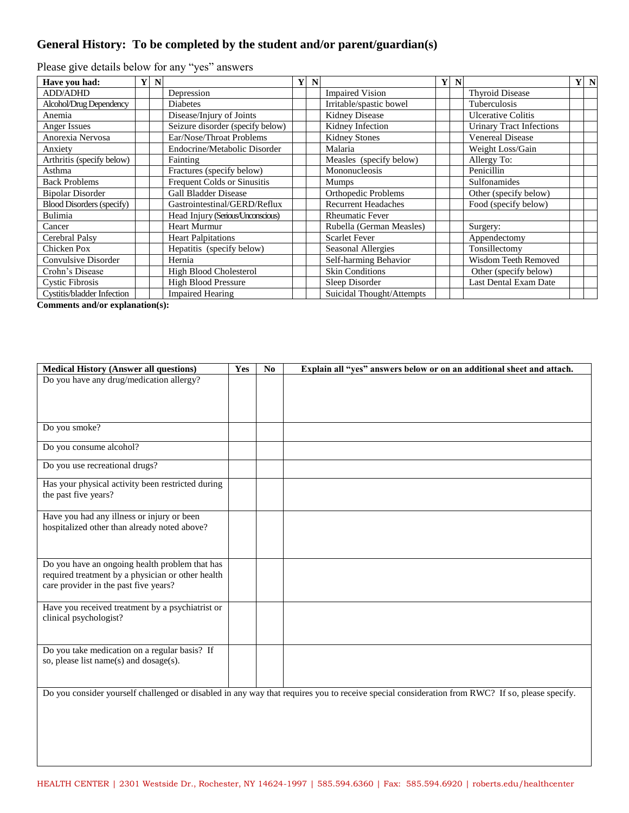## **General History: To be completed by the student and/or parent/guardian(s)**

| Have you had:                    | $\mathbf{Y}$ | N |                                   | N |                            | $\mathbf{Y}$ | N |                                 | Y N |  |
|----------------------------------|--------------|---|-----------------------------------|---|----------------------------|--------------|---|---------------------------------|-----|--|
| <b>ADD/ADHD</b>                  |              |   | Depression                        |   | <b>Impaired Vision</b>     |              |   | Thyroid Disease                 |     |  |
| Alcohol/Drug Dependency          |              |   | <b>Diabetes</b>                   |   | Irritable/spastic bowel    |              |   | Tuberculosis                    |     |  |
| Anemia                           |              |   | Disease/Injury of Joints          |   | <b>Kidney Disease</b>      |              |   | <b>Ulcerative Colitis</b>       |     |  |
| Anger Issues                     |              |   | Seizure disorder (specify below)  |   | Kidney Infection           |              |   | <b>Urinary Tract Infections</b> |     |  |
| Anorexia Nervosa                 |              |   | Ear/Nose/Throat Problems          |   | <b>Kidney Stones</b>       |              |   | <b>Venereal Disease</b>         |     |  |
| Anxiety                          |              |   | Endocrine/Metabolic Disorder      |   | Malaria                    |              |   | Weight Loss/Gain                |     |  |
| Arthritis (specify below)        |              |   | Fainting                          |   | Measles (specify below)    |              |   | Allergy To:                     |     |  |
| Asthma                           |              |   | Fractures (specify below)         |   | Mononucleosis              |              |   | Penicillin                      |     |  |
| <b>Back Problems</b>             |              |   | Frequent Colds or Sinusitis       |   | <b>Mumps</b>               |              |   | Sulfonamides                    |     |  |
| <b>Bipolar Disorder</b>          |              |   | <b>Gall Bladder Disease</b>       |   | <b>Orthopedic Problems</b> |              |   | Other (specify below)           |     |  |
| <b>Blood Disorders (specify)</b> |              |   | Gastrointestinal/GERD/Reflux      |   | <b>Recurrent Headaches</b> |              |   | Food (specify below)            |     |  |
| Bulimia                          |              |   | Head Injury (Serious/Unconscious) |   | <b>Rheumatic Fever</b>     |              |   |                                 |     |  |
| Cancer                           |              |   | <b>Heart Murmur</b>               |   | Rubella (German Measles)   |              |   | Surgery:                        |     |  |
| Cerebral Palsy                   |              |   | <b>Heart Palpitations</b>         |   | <b>Scarlet Fever</b>       |              |   | Appendectomy                    |     |  |
| Chicken Pox                      |              |   | Hepatitis (specify below)         |   | Seasonal Allergies         |              |   | Tonsillectomy                   |     |  |
| Convulsive Disorder              |              |   | Hernia                            |   | Self-harming Behavior      |              |   | <b>Wisdom Teeth Removed</b>     |     |  |
| Crohn's Disease                  |              |   | High Blood Cholesterol            |   | <b>Skin Conditions</b>     |              |   | Other (specify below)           |     |  |
| <b>Cystic Fibrosis</b>           |              |   | <b>High Blood Pressure</b>        |   | Sleep Disorder             |              |   | Last Dental Exam Date           |     |  |
| Cystitis/bladder Infection       |              |   | <b>Impaired Hearing</b>           |   | Suicidal Thought/Attempts  |              |   |                                 |     |  |

Please give details below for any "yes" answers

**Comments and/or explanation(s):**

| <b>Medical History (Answer all questions)</b>     | Yes | No. | Explain all "yes" answers below or on an additional sheet and attach.                                                                          |
|---------------------------------------------------|-----|-----|------------------------------------------------------------------------------------------------------------------------------------------------|
| Do you have any drug/medication allergy?          |     |     |                                                                                                                                                |
|                                                   |     |     |                                                                                                                                                |
|                                                   |     |     |                                                                                                                                                |
|                                                   |     |     |                                                                                                                                                |
| Do you smoke?                                     |     |     |                                                                                                                                                |
|                                                   |     |     |                                                                                                                                                |
| Do you consume alcohol?                           |     |     |                                                                                                                                                |
|                                                   |     |     |                                                                                                                                                |
| Do you use recreational drugs?                    |     |     |                                                                                                                                                |
|                                                   |     |     |                                                                                                                                                |
| Has your physical activity been restricted during |     |     |                                                                                                                                                |
| the past five years?                              |     |     |                                                                                                                                                |
|                                                   |     |     |                                                                                                                                                |
| Have you had any illness or injury or been        |     |     |                                                                                                                                                |
| hospitalized other than already noted above?      |     |     |                                                                                                                                                |
|                                                   |     |     |                                                                                                                                                |
|                                                   |     |     |                                                                                                                                                |
| Do you have an ongoing health problem that has    |     |     |                                                                                                                                                |
| required treatment by a physician or other health |     |     |                                                                                                                                                |
| care provider in the past five years?             |     |     |                                                                                                                                                |
|                                                   |     |     |                                                                                                                                                |
| Have you received treatment by a psychiatrist or  |     |     |                                                                                                                                                |
| clinical psychologist?                            |     |     |                                                                                                                                                |
|                                                   |     |     |                                                                                                                                                |
|                                                   |     |     |                                                                                                                                                |
| Do you take medication on a regular basis? If     |     |     |                                                                                                                                                |
| so, please list name(s) and dosage(s).            |     |     |                                                                                                                                                |
|                                                   |     |     |                                                                                                                                                |
|                                                   |     |     |                                                                                                                                                |
|                                                   |     |     | Do you consider yourself challenged or disabled in any way that requires you to receive special consideration from RWC? If so, please specify. |
|                                                   |     |     |                                                                                                                                                |
|                                                   |     |     |                                                                                                                                                |
|                                                   |     |     |                                                                                                                                                |
|                                                   |     |     |                                                                                                                                                |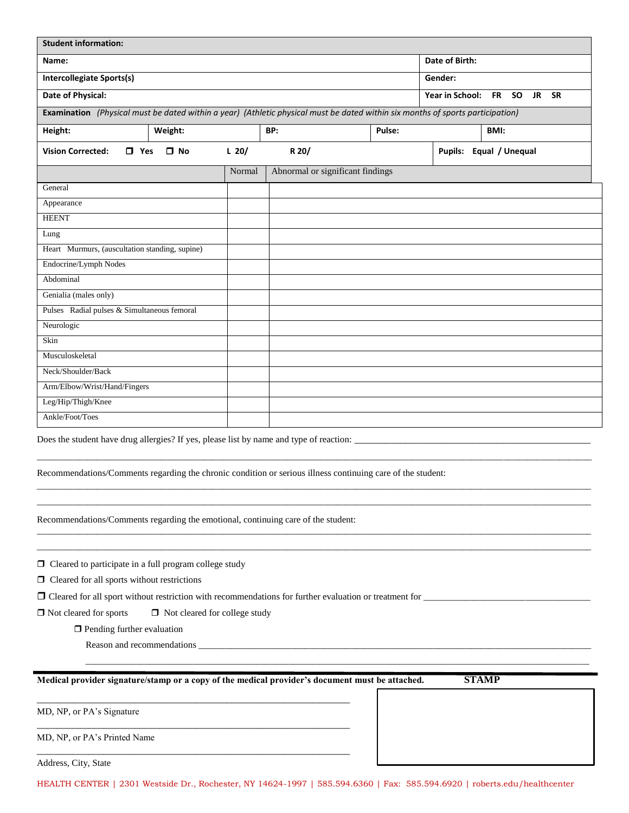| <b>Student information:</b>                                                                                                                                                                                    |         |                                  |                                 |  |                         |
|----------------------------------------------------------------------------------------------------------------------------------------------------------------------------------------------------------------|---------|----------------------------------|---------------------------------|--|-------------------------|
| Name:                                                                                                                                                                                                          |         | Date of Birth:                   |                                 |  |                         |
| <b>Intercollegiate Sports(s)</b>                                                                                                                                                                               |         | Gender:                          |                                 |  |                         |
| Date of Physical:                                                                                                                                                                                              |         | Year in School:                  | <b>FR</b><br><b>SO</b><br>JR SR |  |                         |
| Examination (Physical must be dated within a year) (Athletic physical must be dated within six months of sports participation)                                                                                 |         |                                  |                                 |  |                         |
| Height:<br>Weight:                                                                                                                                                                                             |         | BP:                              | Pulse:                          |  | BMI:                    |
| <b>Vision Corrected:</b><br>$\Box$ Yes<br>$\square$ No                                                                                                                                                         | $L$ 20/ | R 20/                            |                                 |  | Pupils: Equal / Unequal |
|                                                                                                                                                                                                                | Normal  | Abnormal or significant findings |                                 |  |                         |
| General                                                                                                                                                                                                        |         |                                  |                                 |  |                         |
| Appearance                                                                                                                                                                                                     |         |                                  |                                 |  |                         |
| <b>HEENT</b>                                                                                                                                                                                                   |         |                                  |                                 |  |                         |
| Lung                                                                                                                                                                                                           |         |                                  |                                 |  |                         |
| Heart Murmurs, (auscultation standing, supine)                                                                                                                                                                 |         |                                  |                                 |  |                         |
| Endocrine/Lymph Nodes                                                                                                                                                                                          |         |                                  |                                 |  |                         |
| Abdominal                                                                                                                                                                                                      |         |                                  |                                 |  |                         |
| Genialia (males only)                                                                                                                                                                                          |         |                                  |                                 |  |                         |
| Pulses Radial pulses & Simultaneous femoral                                                                                                                                                                    |         |                                  |                                 |  |                         |
| Neurologic                                                                                                                                                                                                     |         |                                  |                                 |  |                         |
| Skin                                                                                                                                                                                                           |         |                                  |                                 |  |                         |
| Musculoskeletal                                                                                                                                                                                                |         |                                  |                                 |  |                         |
| Neck/Shoulder/Back                                                                                                                                                                                             |         |                                  |                                 |  |                         |
| Arm/Elbow/Wrist/Hand/Fingers                                                                                                                                                                                   |         |                                  |                                 |  |                         |
| Leg/Hip/Thigh/Knee                                                                                                                                                                                             |         |                                  |                                 |  |                         |
| Ankle/Foot/Toes                                                                                                                                                                                                |         |                                  |                                 |  |                         |
| Does the student have drug allergies? If yes, please list by name and type of reaction: _______<br>Recommendations/Comments regarding the chronic condition or serious illness continuing care of the student: |         |                                  |                                 |  |                         |
| Recommendations/Comments regarding the emotional, continuing care of the student:                                                                                                                              |         |                                  |                                 |  |                         |
| $\Box$ Cleared to participate in a full program college study<br>$\Box$ Cleared for all sports without restrictions                                                                                            |         |                                  |                                 |  |                         |
|                                                                                                                                                                                                                |         |                                  |                                 |  |                         |
| $\Box$ Not cleared for sports<br>□ Not cleared for college study                                                                                                                                               |         |                                  |                                 |  |                         |
| $\Box$ Pending further evaluation                                                                                                                                                                              |         |                                  |                                 |  |                         |
|                                                                                                                                                                                                                |         |                                  |                                 |  |                         |
| Medical provider signature/stamp or a copy of the medical provider's document must be attached.                                                                                                                |         |                                  |                                 |  | <b>STAMP</b>            |
| MD, NP, or PA's Signature                                                                                                                                                                                      |         |                                  |                                 |  |                         |
| MD, NP, or PA's Printed Name                                                                                                                                                                                   |         |                                  |                                 |  |                         |

Address, City, State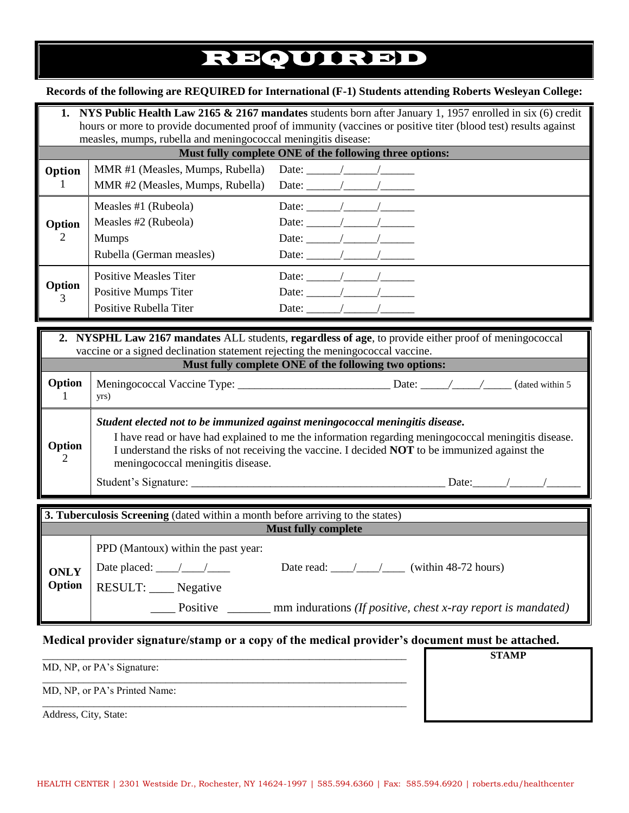# REQUIRED

#### **Records of the following are REQUIRED for International (F-1) Students attending Roberts Wesleyan College:**

|                                                                                                                                                                                                                                                  | <b>1.</b> NYS Public Health Law 2165 & 2167 mandates students born after January 1, 1957 enrolled in six (6) credit<br>hours or more to provide documented proof of immunity (vaccines or positive titer (blood test) results against<br>measles, mumps, rubella and meningococcal meningitis disease: |                                                                                                                                                                                                                                                                                                                                                                                                                                            |  |  |  |  |  |  |
|--------------------------------------------------------------------------------------------------------------------------------------------------------------------------------------------------------------------------------------------------|--------------------------------------------------------------------------------------------------------------------------------------------------------------------------------------------------------------------------------------------------------------------------------------------------------|--------------------------------------------------------------------------------------------------------------------------------------------------------------------------------------------------------------------------------------------------------------------------------------------------------------------------------------------------------------------------------------------------------------------------------------------|--|--|--|--|--|--|
|                                                                                                                                                                                                                                                  | Must fully complete ONE of the following three options:                                                                                                                                                                                                                                                |                                                                                                                                                                                                                                                                                                                                                                                                                                            |  |  |  |  |  |  |
| <b>Option</b>                                                                                                                                                                                                                                    | MMR #1 (Measles, Mumps, Rubella) Date: $\frac{\sqrt{2\pi}}{2\pi}$<br>MMR #2 (Measles, Mumps, Rubella) Date: $\frac{\sqrt{2}}{2}$                                                                                                                                                                       |                                                                                                                                                                                                                                                                                                                                                                                                                                            |  |  |  |  |  |  |
| Option<br>2                                                                                                                                                                                                                                      | Measles $#1$ (Rubeola)<br>Measles $#2$ (Rubeola)<br><b>Mumps</b><br>Rubella (German measles)                                                                                                                                                                                                           | Date: $\angle$<br>Date: $\frac{1}{\sqrt{1-\frac{1}{2}}}\frac{1}{\sqrt{1-\frac{1}{2}}}\frac{1}{\sqrt{1-\frac{1}{2}}}\frac{1}{\sqrt{1-\frac{1}{2}}}\frac{1}{\sqrt{1-\frac{1}{2}}}\frac{1}{\sqrt{1-\frac{1}{2}}}\frac{1}{\sqrt{1-\frac{1}{2}}}\frac{1}{\sqrt{1-\frac{1}{2}}}\frac{1}{\sqrt{1-\frac{1}{2}}}\frac{1}{\sqrt{1-\frac{1}{2}}}\frac{1}{\sqrt{1-\frac{1}{2}}}\frac{1}{\sqrt{1-\frac{1}{2}}}\frac{1}{\sqrt{1-\frac{1}{2}}}\frac{1}{\$ |  |  |  |  |  |  |
| Option                                                                                                                                                                                                                                           | Positive Measles Titer<br>Positive Mumps Titer<br>Positive Rubella Titer                                                                                                                                                                                                                               | Date: $\frac{1}{\sqrt{2}}$ /                                                                                                                                                                                                                                                                                                                                                                                                               |  |  |  |  |  |  |
| 2. NYSPHL Law 2167 mandates ALL students, regardless of age, to provide either proof of meningococcal<br>vaccine or a signed declination statement rejecting the meningococcal vaccine.<br>Must fully complete ONE of the following two options: |                                                                                                                                                                                                                                                                                                        |                                                                                                                                                                                                                                                                                                                                                                                                                                            |  |  |  |  |  |  |
| Option                                                                                                                                                                                                                                           | Meningococcal Vaccine Type:                                                                                                                                                                                                                                                                            | (dated within 5)                                                                                                                                                                                                                                                                                                                                                                                                                           |  |  |  |  |  |  |

1 yrs) **Option** 2 *Student elected not to be immunized against meningococcal meningitis disease.*  I have read or have had explained to me the information regarding meningococcal meningitis disease. I understand the risks of not receiving the vaccine. I decided **NOT** to be immunized against the meningococcal meningitis disease.

Student's Signature: \_\_\_\_\_\_\_\_\_\_\_\_\_\_\_\_\_\_\_\_\_\_\_\_\_\_\_\_\_\_\_\_\_\_\_\_\_\_\_\_\_\_\_\_\_ Date:\_\_\_\_\_\_/\_\_\_\_\_\_/\_\_\_\_\_\_

**STAMP**

| 3. Tuberculosis Screening (dated within a month before arriving to the states) |                                                                                                                                          |  |  |  |  |  |  |  |
|--------------------------------------------------------------------------------|------------------------------------------------------------------------------------------------------------------------------------------|--|--|--|--|--|--|--|
| <b>Must fully complete</b>                                                     |                                                                                                                                          |  |  |  |  |  |  |  |
| <b>ONLY</b><br>Option                                                          | PPD (Mantoux) within the past year:<br>Date read: / / (within 48-72 hours)<br>Date placed: $\frac{\sqrt{2}}{2}$<br>RESULT: ____ Negative |  |  |  |  |  |  |  |
|                                                                                | Positive<br>mm indurations (If positive, chest x-ray report is mandated)                                                                 |  |  |  |  |  |  |  |

### **Medical provider signature/stamp or a copy of the medical provider's document must be attached.**

\_\_\_\_\_\_\_\_\_\_\_\_\_\_\_\_\_\_\_\_\_\_\_\_\_\_\_\_\_\_\_\_\_\_\_\_\_\_\_\_\_\_\_\_\_\_\_\_\_\_\_\_\_\_\_\_\_\_\_\_\_\_\_\_\_\_\_\_\_\_\_

\_\_\_\_\_\_\_\_\_\_\_\_\_\_\_\_\_\_\_\_\_\_\_\_\_\_\_\_\_\_\_\_\_\_\_\_\_\_\_\_\_\_\_\_\_\_\_\_\_\_\_\_\_\_\_\_\_\_\_\_\_\_\_\_\_\_\_\_\_\_\_

\_\_\_\_\_\_\_\_\_\_\_\_\_\_\_\_\_\_\_\_\_\_\_\_\_\_\_\_\_\_\_\_\_\_\_\_\_\_\_\_\_\_\_\_\_\_\_\_\_\_\_\_\_\_\_\_\_\_\_\_\_\_\_\_\_\_\_\_\_\_\_

MD, NP, or PA's Signature:

MD, NP, or PA's Printed Name:

Address, City, State: